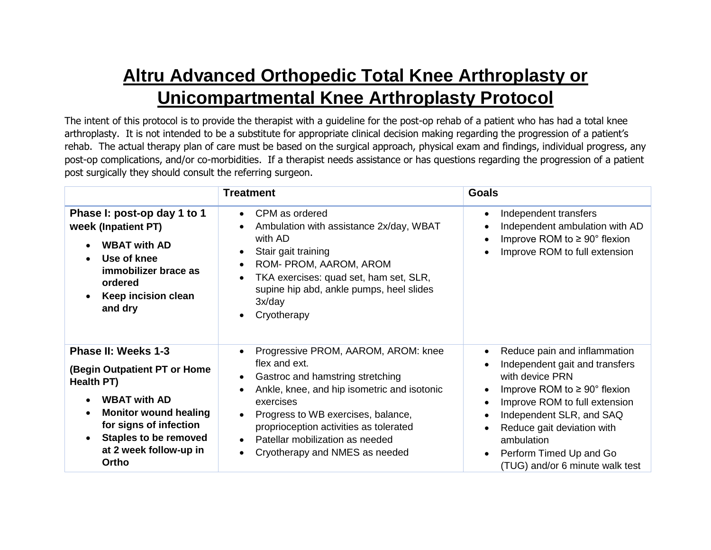## **Altru Advanced Orthopedic Total Knee Arthroplasty or Unicompartmental Knee Arthroplasty Protocol**

The intent of this protocol is to provide the therapist with a guideline for the post-op rehab of a patient who has had a total knee arthroplasty. It is not intended to be a substitute for appropriate clinical decision making regarding the progression of a patient's rehab. The actual therapy plan of care must be based on the surgical approach, physical exam and findings, individual progress, any post-op complications, and/or co-morbidities. If a therapist needs assistance or has questions regarding the progression of a patient post surgically they should consult the referring surgeon.

|                                                                                                                                                                                                                                                              | <b>Treatment</b>                                                                                                                                                                                                                                                                                                                                                                        | <b>Goals</b>                                                                                                                                                                                                                                                                                                                                             |
|--------------------------------------------------------------------------------------------------------------------------------------------------------------------------------------------------------------------------------------------------------------|-----------------------------------------------------------------------------------------------------------------------------------------------------------------------------------------------------------------------------------------------------------------------------------------------------------------------------------------------------------------------------------------|----------------------------------------------------------------------------------------------------------------------------------------------------------------------------------------------------------------------------------------------------------------------------------------------------------------------------------------------------------|
| Phase I: post-op day 1 to 1<br>week (Inpatient PT)<br><b>WBAT with AD</b><br>Use of knee<br>$\bullet$<br>immobilizer brace as<br>ordered<br>Keep incision clean<br>$\bullet$<br>and dry                                                                      | CPM as ordered<br>$\bullet$<br>Ambulation with assistance 2x/day, WBAT<br>$\bullet$<br>with AD<br>Stair gait training<br>$\bullet$<br>ROM- PROM, AAROM, AROM<br>$\bullet$<br>TKA exercises: quad set, ham set, SLR,<br>$\bullet$<br>supine hip abd, ankle pumps, heel slides<br>3x/day<br>Cryotherapy<br>$\bullet$                                                                      | Independent transfers<br>$\bullet$<br>Independent ambulation with AD<br>Improve ROM to $\geq 90^{\circ}$ flexion<br>Improve ROM to full extension                                                                                                                                                                                                        |
| Phase II: Weeks 1-3<br>(Begin Outpatient PT or Home<br>Health PT)<br><b>WBAT with AD</b><br>$\bullet$<br><b>Monitor wound healing</b><br>$\bullet$<br>for signs of infection<br><b>Staples to be removed</b><br>$\bullet$<br>at 2 week follow-up in<br>Ortho | Progressive PROM, AAROM, AROM: knee<br>$\bullet$<br>flex and ext.<br>Gastroc and hamstring stretching<br>$\bullet$<br>Ankle, knee, and hip isometric and isotonic<br>$\bullet$<br>exercises<br>Progress to WB exercises, balance,<br>$\bullet$<br>proprioception activities as tolerated<br>Patellar mobilization as needed<br>$\bullet$<br>Cryotherapy and NMES as needed<br>$\bullet$ | Reduce pain and inflammation<br>$\bullet$<br>Independent gait and transfers<br>with device PRN<br>Improve ROM to $\geq 90^{\circ}$ flexion<br>$\bullet$<br>Improve ROM to full extension<br>Independent SLR, and SAQ<br>Reduce gait deviation with<br>$\bullet$<br>ambulation<br>Perform Timed Up and Go<br>$\bullet$<br>(TUG) and/or 6 minute walk test |